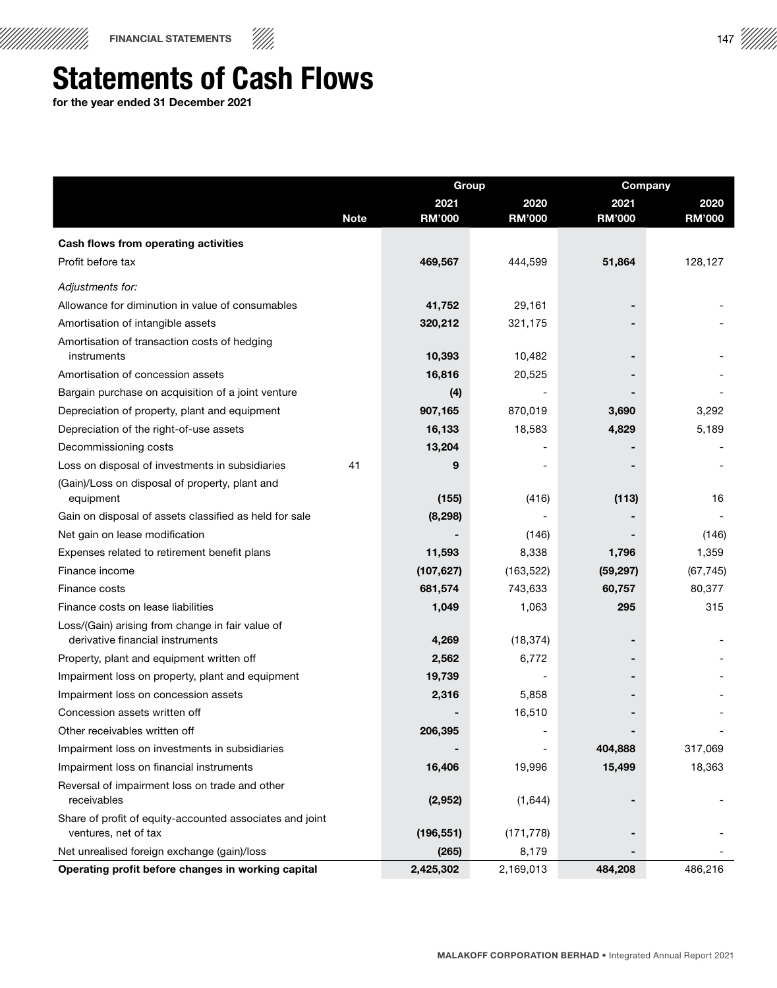

## Statements of Cash Flows

for the year ended 31 December 2021

|                                                               |             | <b>Group</b>  |               | Company       |               |
|---------------------------------------------------------------|-------------|---------------|---------------|---------------|---------------|
|                                                               |             | 2021          | 2020          | 2021          | 2020          |
|                                                               | <b>Note</b> | <b>RM'000</b> | <b>RM'000</b> | <b>RM'000</b> | <b>RM'000</b> |
| Cash flows from operating activities                          |             |               |               |               |               |
| Profit before tax                                             |             | 469,567       | 444,599       | 51,864        | 128,127       |
| Adjustments for:                                              |             |               |               |               |               |
| Allowance for diminution in value of consumables              |             | 41,752        | 29,161        |               |               |
| Amortisation of intangible assets                             |             | 320,212       | 321,175       |               |               |
| Amortisation of transaction costs of hedging<br>instruments   |             | 10,393        | 10,482        |               |               |
| Amortisation of concession assets                             |             | 16,816        | 20,525        |               |               |
| Bargain purchase on acquisition of a joint venture            |             | (4)           |               |               |               |
| Depreciation of property, plant and equipment                 |             | 907,165       | 870,019       | 3,690         | 3,292         |
| Depreciation of the right-of-use assets                       |             | 16,133        | 18,583        | 4,829         | 5,189         |
| Decommissioning costs                                         |             | 13,204        |               |               |               |
| Loss on disposal of investments in subsidiaries               | 41          | 9             |               |               |               |
| (Gain)/Loss on disposal of property, plant and<br>equipment   |             | (155)         | (416)         | (113)         | 16            |
| Gain on disposal of assets classified as held for sale        |             | (8, 298)      |               |               |               |
| Net gain on lease modification                                |             |               | (146)         |               | (146)         |
| Expenses related to retirement benefit plans                  |             | 11,593        | 8,338         | 1,796         | 1,359         |
| Finance income                                                |             | (107, 627)    | (163, 522)    | (59, 297)     | (67, 745)     |
| Finance costs                                                 |             | 681,574       | 743,633       | 60,757        | 80,377        |
| Finance costs on lease liabilities                            |             | 1,049         | 1,063         | 295           | 315           |
| Loss/(Gain) arising from change in fair value of              |             |               |               |               |               |
| derivative financial instruments                              |             | 4,269         | (18, 374)     |               |               |
| Property, plant and equipment written off                     |             | 2,562         | 6,772         |               |               |
| Impairment loss on property, plant and equipment              |             | 19,739        |               |               |               |
| Impairment loss on concession assets                          |             | 2,316         | 5,858         |               |               |
| Concession assets written off                                 |             |               | 16,510        |               |               |
| Other receivables written off                                 |             | 206,395       |               |               |               |
| Impairment loss on investments in subsidiaries                |             |               |               | 404,888       | 317,069       |
| Impairment loss on financial instruments                      |             | 16,406        | 19,996        | 15,499        | 18,363        |
| Reversal of impairment loss on trade and other<br>receivables |             | (2,952)       | (1,644)       |               |               |
| Share of profit of equity-accounted associates and joint      |             |               |               |               |               |
| ventures, net of tax                                          |             | (196, 551)    | (171, 778)    |               |               |
| Net unrealised foreign exchange (gain)/loss                   |             | (265)         | 8,179         |               |               |
| Operating profit before changes in working capital            |             | 2,425,302     | 2,169,013     | 484,208       | 486,216       |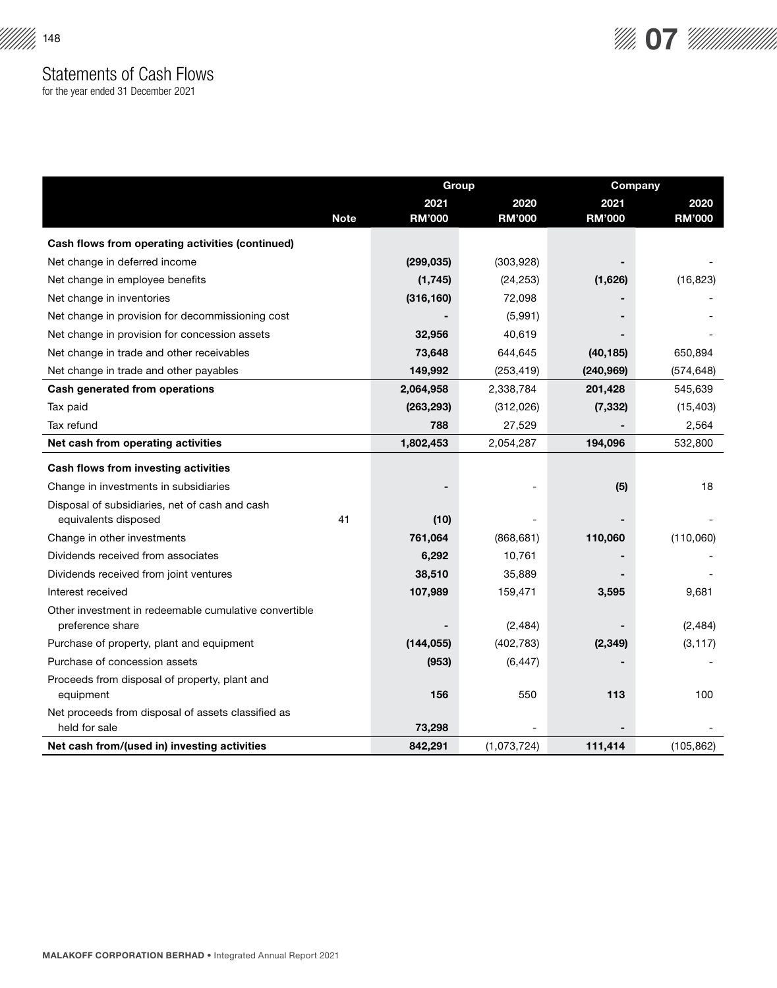

for the year ended 31 December 2021

|                                                                           |             | Group         |               |               | Company       |  |
|---------------------------------------------------------------------------|-------------|---------------|---------------|---------------|---------------|--|
|                                                                           |             | 2021          | 2020          | 2021          | 2020          |  |
|                                                                           | <b>Note</b> | <b>RM'000</b> | <b>RM'000</b> | <b>RM'000</b> | <b>RM'000</b> |  |
| Cash flows from operating activities (continued)                          |             |               |               |               |               |  |
| Net change in deferred income                                             |             | (299, 035)    | (303, 928)    |               |               |  |
| Net change in employee benefits                                           |             | (1, 745)      | (24, 253)     | (1,626)       | (16, 823)     |  |
| Net change in inventories                                                 |             | (316, 160)    | 72,098        |               |               |  |
| Net change in provision for decommissioning cost                          |             |               | (5,991)       |               |               |  |
| Net change in provision for concession assets                             |             | 32,956        | 40,619        |               |               |  |
| Net change in trade and other receivables                                 |             | 73,648        | 644,645       | (40, 185)     | 650,894       |  |
| Net change in trade and other payables                                    |             | 149,992       | (253, 419)    | (240, 969)    | (574, 648)    |  |
| Cash generated from operations                                            |             | 2,064,958     | 2,338,784     | 201,428       | 545,639       |  |
| Tax paid                                                                  |             | (263, 293)    | (312,026)     | (7, 332)      | (15, 403)     |  |
| Tax refund                                                                |             | 788           | 27,529        |               | 2,564         |  |
| Net cash from operating activities                                        |             | 1,802,453     | 2,054,287     | 194,096       | 532,800       |  |
| Cash flows from investing activities                                      |             |               |               |               |               |  |
| Change in investments in subsidiaries                                     |             |               |               | (5)           | 18            |  |
| Disposal of subsidiaries, net of cash and cash                            |             |               |               |               |               |  |
| equivalents disposed                                                      | 41          | (10)          |               |               |               |  |
| Change in other investments                                               |             | 761,064       | (868, 681)    | 110,060       | (110,060)     |  |
| Dividends received from associates                                        |             | 6,292         | 10,761        |               |               |  |
| Dividends received from joint ventures                                    |             | 38,510        | 35,889        |               |               |  |
| Interest received                                                         |             | 107,989       | 159,471       | 3,595         | 9,681         |  |
| Other investment in redeemable cumulative convertible<br>preference share |             |               | (2, 484)      |               | (2,484)       |  |
| Purchase of property, plant and equipment                                 |             | (144, 055)    | (402, 783)    | (2,349)       | (3, 117)      |  |
| Purchase of concession assets                                             |             | (953)         | (6, 447)      |               |               |  |
| Proceeds from disposal of property, plant and                             |             |               |               |               |               |  |
| equipment                                                                 |             | 156           | 550           | 113           | 100           |  |
| Net proceeds from disposal of assets classified as                        |             |               |               |               |               |  |
| held for sale                                                             |             | 73,298        |               |               |               |  |
| Net cash from/(used in) investing activities                              |             | 842,291       | (1,073,724)   | 111,414       | (105, 862)    |  |